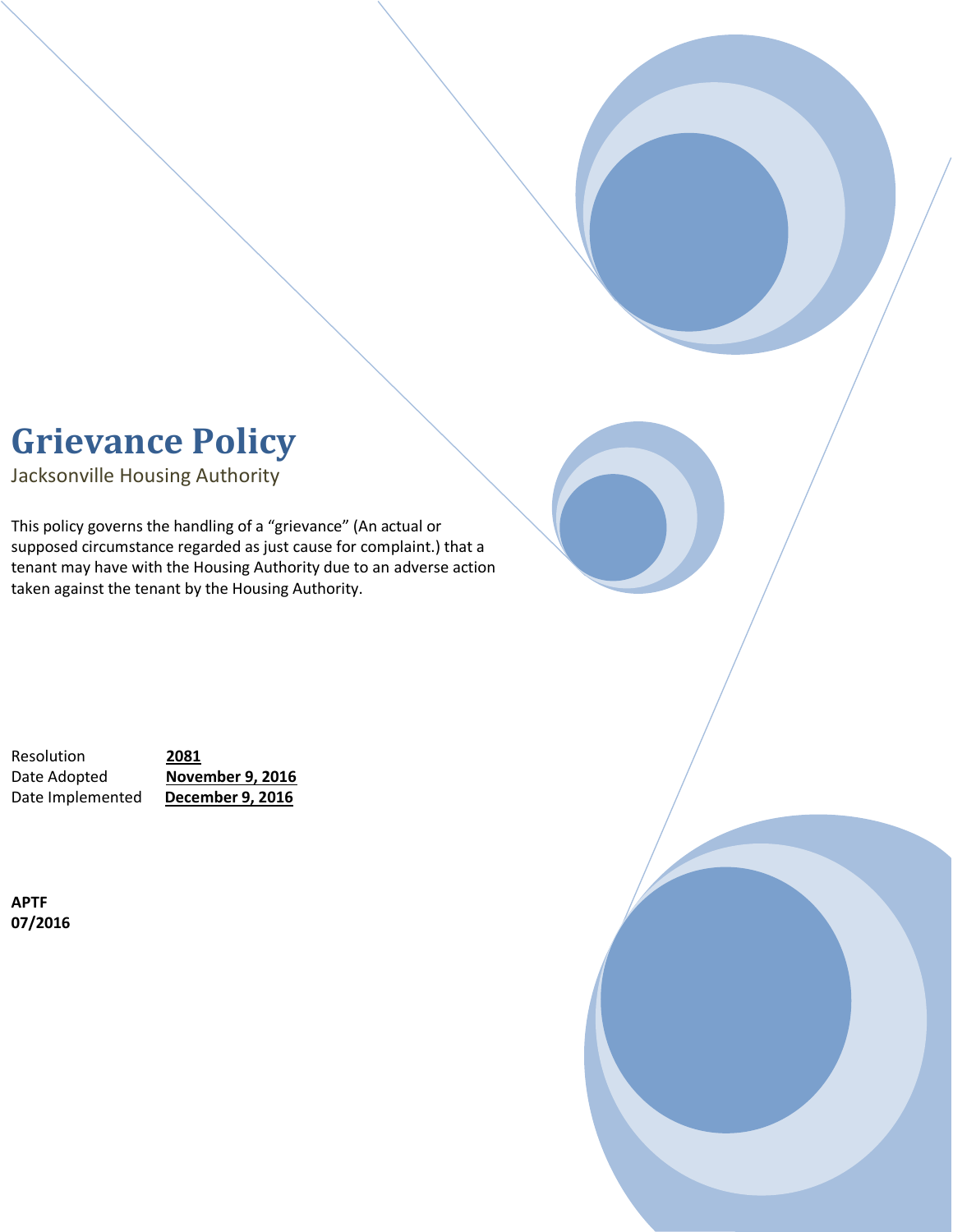# **Grievance Policy**

Jacksonville Housing Authority

This policy governs the handling of a "grievance" (An actual or supposed circumstance regarded as just cause for complaint.) that a tenant may have with the Housing Authority due to an adverse action taken against the tenant by the Housing Authority.

Resolution **2081** Date Adopted **November 9, 2016** Date Implemented **December 9, 2016**

**APTF 07/2016**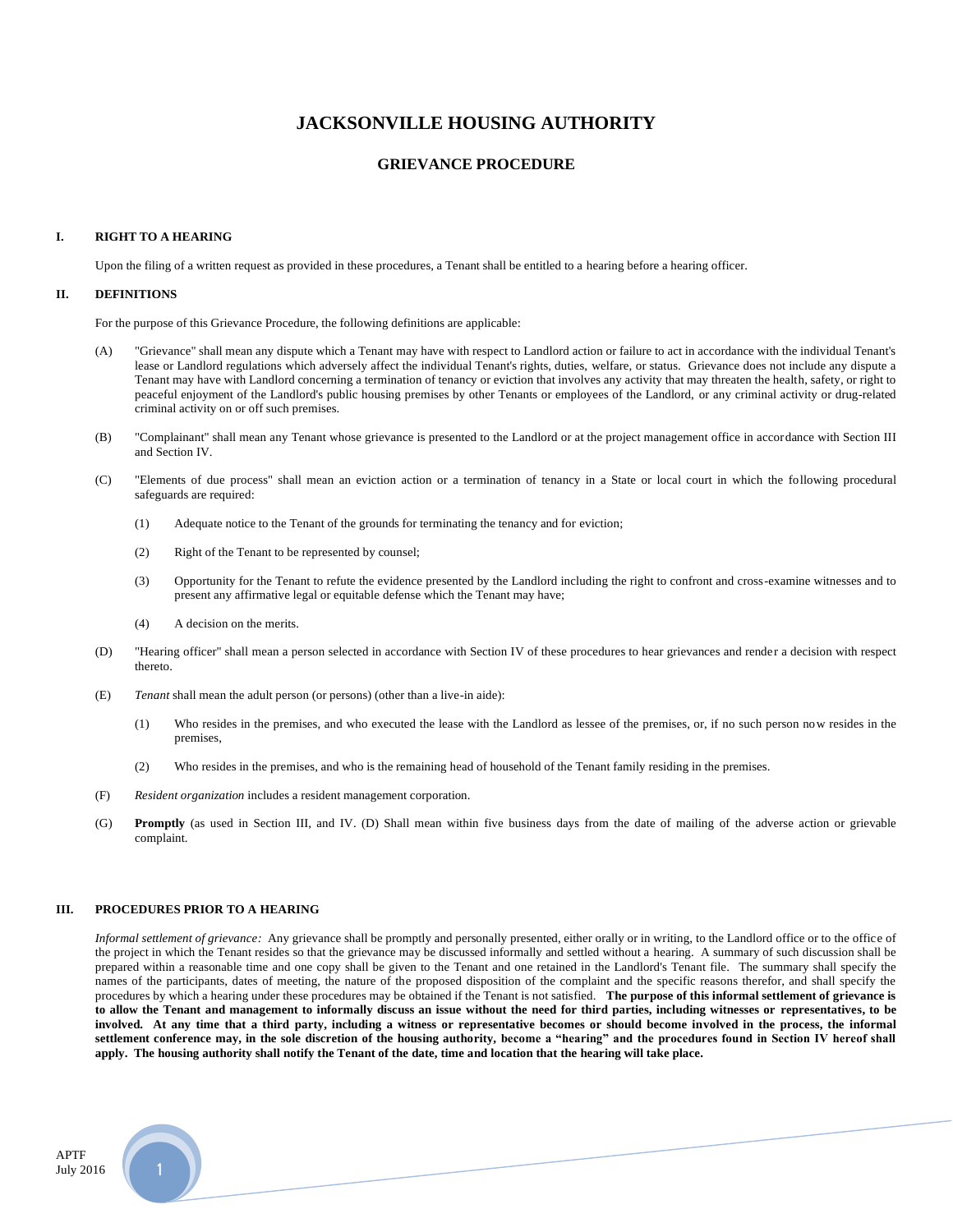## **JACKSONVILLE HOUSING AUTHORITY**

### **GRIEVANCE PROCEDURE**

#### **I. RIGHT TO A HEARING**

Upon the filing of a written request as provided in these procedures, a Tenant shall be entitled to a hearing before a hearing officer.

#### **II. DEFINITIONS**

For the purpose of this Grievance Procedure, the following definitions are applicable:

- (A) "Grievance" shall mean any dispute which a Tenant may have with respect to Landlord action or failure to act in accordance with the individual Tenant's lease or Landlord regulations which adversely affect the individual Tenant's rights, duties, welfare, or status. Grievance does not include any dispute a Tenant may have with Landlord concerning a termination of tenancy or eviction that involves any activity that may threaten the health, safety, or right to peaceful enjoyment of the Landlord's public housing premises by other Tenants or employees of the Landlord, or any criminal activity or drug-related criminal activity on or off such premises.
- (B) "Complainant" shall mean any Tenant whose grievance is presented to the Landlord or at the project management office in accordance with Section III and Section IV.
- (C) "Elements of due process" shall mean an eviction action or a termination of tenancy in a State or local court in which the following procedural safeguards are required:
	- (1) Adequate notice to the Tenant of the grounds for terminating the tenancy and for eviction;
	- (2) Right of the Tenant to be represented by counsel;
	- (3) Opportunity for the Tenant to refute the evidence presented by the Landlord including the right to confront and cross-examine witnesses and to present any affirmative legal or equitable defense which the Tenant may have;
	- (4) A decision on the merits.
- (D) "Hearing officer" shall mean a person selected in accordance with Section IV of these procedures to hear grievances and render a decision with respect thereto.
- (E) *Tenant* shall mean the adult person (or persons) (other than a live-in aide):
	- (1) Who resides in the premises, and who executed the lease with the Landlord as lessee of the premises, or, if no such person now resides in the premises,
	- (2) Who resides in the premises, and who is the remaining head of household of the Tenant family residing in the premises.
- (F) *Resident organization* includes a resident management corporation.
- (G) **Promptly** (as used in Section III, and IV. (D) Shall mean within five business days from the date of mailing of the adverse action or grievable complaint.

#### **III. PROCEDURES PRIOR TO A HEARING**

*Informal settlement of grievance:* Any grievance shall be promptly and personally presented, either orally or in writing, to the Landlord office or to the office of the project in which the Tenant resides so that the grievance may be discussed informally and settled without a hearing. A summary of such discussion shall be prepared within a reasonable time and one copy shall be given to the Tenant and one retained in the Landlord's Tenant file. The summary shall specify the names of the participants, dates of meeting, the nature of the proposed disposition of the complaint and the specific reasons therefor, and shall specify the procedures by which a hearing under these procedures may be obtained if the Tenant is not satisfied. **The purpose of this informal settlement of grievance is to allow the Tenant and management to informally discuss an issue without the need for third parties, including witnesses or representatives, to be involved. At any time that a third party, including a witness or representative becomes or should become involved in the process, the informal settlement conference may, in the sole discretion of the housing authority, become a "hearing" and the procedures found in Section IV hereof shall apply. The housing authority shall notify the Tenant of the date, time and location that the hearing will take place.**

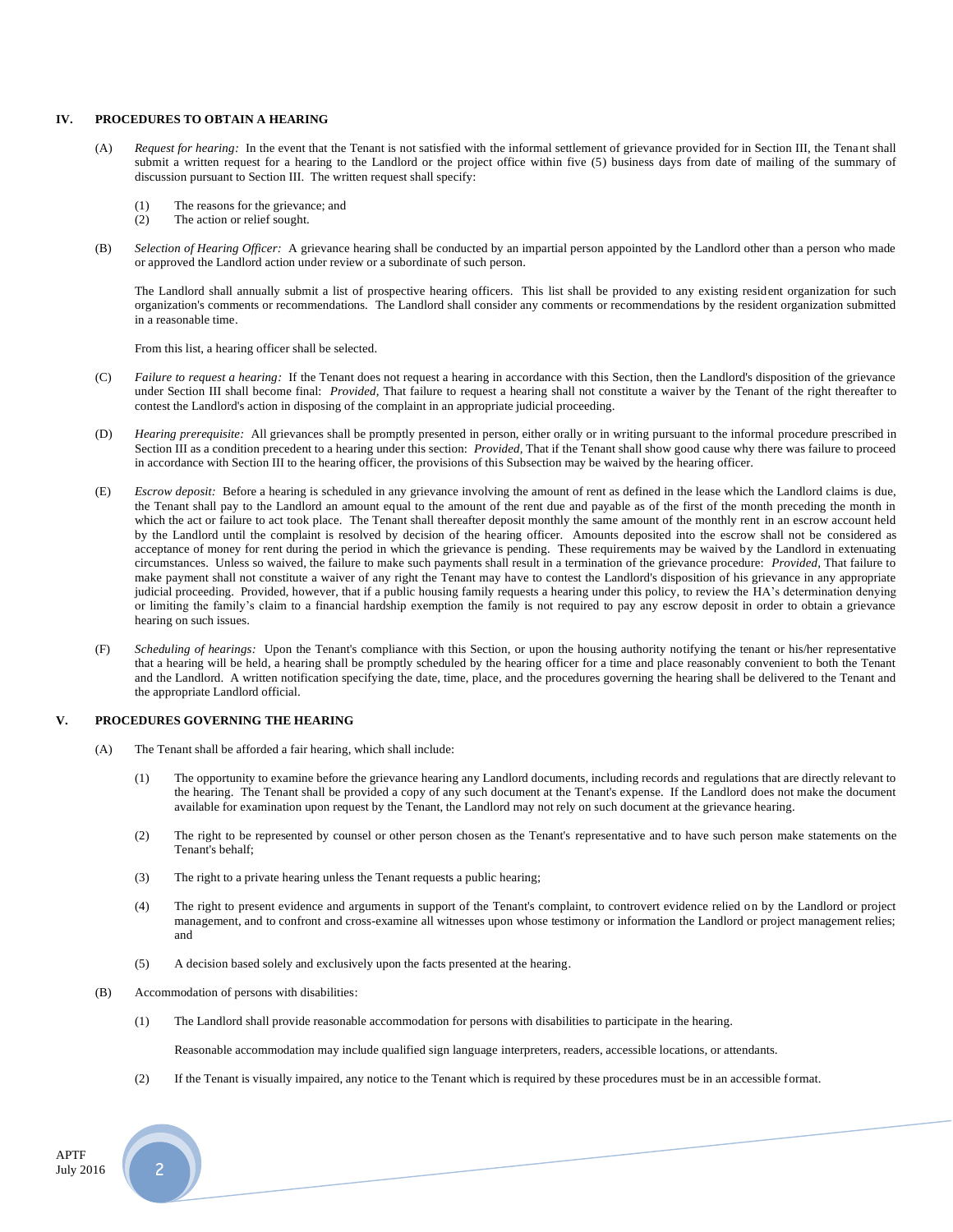#### **IV. PROCEDURES TO OBTAIN A HEARING**

- (A) *Request for hearing:* In the event that the Tenant is not satisfied with the informal settlement of grievance provided for in Section III, the Tenant shall submit a written request for a hearing to the Landlord or the project office within five (5) business days from date of mailing of the summary of discussion pursuant to Section III. The written request shall specify:
	- (1) The reasons for the grievance; and
	- (2) The action or relief sought.
- (B) *Selection of Hearing Officer:* A grievance hearing shall be conducted by an impartial person appointed by the Landlord other than a person who made or approved the Landlord action under review or a subordinate of such person.

The Landlord shall annually submit a list of prospective hearing officers. This list shall be provided to any existing resident organization for such organization's comments or recommendations. The Landlord shall consider any comments or recommendations by the resident organization submitted in a reasonable time.

From this list, a hearing officer shall be selected.

- (C) *Failure to request a hearing:* If the Tenant does not request a hearing in accordance with this Section, then the Landlord's disposition of the grievance under Section III shall become final: *Provided,* That failure to request a hearing shall not constitute a waiver by the Tenant of the right thereafter to contest the Landlord's action in disposing of the complaint in an appropriate judicial proceeding.
- (D) *Hearing prerequisite:* All grievances shall be promptly presented in person, either orally or in writing pursuant to the informal procedure prescribed in Section III as a condition precedent to a hearing under this section: *Provided,* That if the Tenant shall show good cause why there was failure to proceed in accordance with Section III to the hearing officer, the provisions of this Subsection may be waived by the hearing officer.
- (E) *Escrow deposit:* Before a hearing is scheduled in any grievance involving the amount of rent as defined in the lease which the Landlord claims is due, the Tenant shall pay to the Landlord an amount equal to the amount of the rent due and payable as of the first of the month preceding the month in which the act or failure to act took place. The Tenant shall thereafter deposit monthly the same amount of the monthly rent in an escrow account held by the Landlord until the complaint is resolved by decision of the hearing officer. Amounts deposited into the escrow shall not be considered as acceptance of money for rent during the period in which the grievance is pending. These requirements may be waived by the Landlord in extenuating circumstances. Unless so waived, the failure to make such payments shall result in a termination of the grievance procedure: *Provided,* That failure to make payment shall not constitute a waiver of any right the Tenant may have to contest the Landlord's disposition of his grievance in any appropriate judicial proceeding. Provided, however, that if a public housing family requests a hearing under this policy, to review the HA's determination denying or limiting the family's claim to a financial hardship exemption the family is not required to pay any escrow deposit in order to obtain a grievance hearing on such issues.
- (F) *Scheduling of hearings:* Upon the Tenant's compliance with this Section, or upon the housing authority notifying the tenant or his/her representative that a hearing will be held, a hearing shall be promptly scheduled by the hearing officer for a time and place reasonably convenient to both the Tenant and the Landlord. A written notification specifying the date, time, place, and the procedures governing the hearing shall be delivered to the Tenant and the appropriate Landlord official.

#### **V. PROCEDURES GOVERNING THE HEARING**

- (A) The Tenant shall be afforded a fair hearing, which shall include:
	- (1) The opportunity to examine before the grievance hearing any Landlord documents, including records and regulations that are directly relevant to the hearing. The Tenant shall be provided a copy of any such document at the Tenant's expense. If the Landlord does not make the document available for examination upon request by the Tenant, the Landlord may not rely on such document at the grievance hearing.
	- (2) The right to be represented by counsel or other person chosen as the Tenant's representative and to have such person make statements on the Tenant's behalf;
	- (3) The right to a private hearing unless the Tenant requests a public hearing;
	- (4) The right to present evidence and arguments in support of the Tenant's complaint, to controvert evidence relied on by the Landlord or project management, and to confront and cross-examine all witnesses upon whose testimony or information the Landlord or project management relies; and
	- (5) A decision based solely and exclusively upon the facts presented at the hearing.
- (B) Accommodation of persons with disabilities:
	- (1) The Landlord shall provide reasonable accommodation for persons with disabilities to participate in the hearing.

Reasonable accommodation may include qualified sign language interpreters, readers, accessible locations, or attendants.

(2) If the Tenant is visually impaired, any notice to the Tenant which is required by these procedures must be in an accessible format.